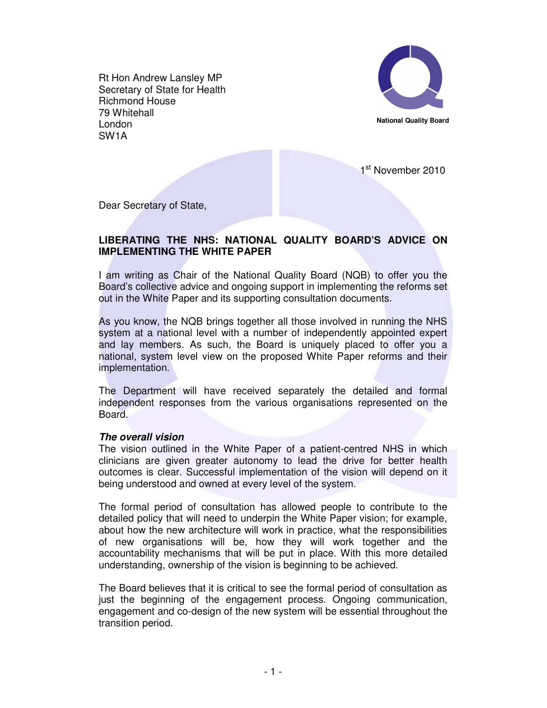Rt Hon Andrew Lansley MP Secretary of State for Health Richmond House 79 Whitehall London SW1A



1<sup>st</sup> November 2010

Dear Secretary of State,

## **LIBERATING THE NHS: NATIONAL QUALITY BOARD'S ADVICE ON IMPLEMENTING THE WHITE PAPER**

I am writing as Chair of the National Quality Board (NQB) to offer you the Board's collective advice and ongoing support in implementing the reforms set out in the White Paper and its supporting consultation documents.

As you know, the NQB brings together all those involved in running the NHS system at a national level with a number of independently appointed expert and lay members. As such, the Board is uniquely placed to offer you a national, system level view on the proposed White Paper reforms and their implementation.

The Department will have received separately the detailed and formal independent responses from the various organisations represented on the Board.

### **The overall vision**

The vision outlined in the White Paper of a patient-centred NHS in which clinicians are given greater autonomy to lead the drive for better health outcomes is clear. Successful implementation of the vision will depend on it being understood and owned at every level of the system.

The formal period of consultation has allowed people to contribute to the detailed policy that will need to underpin the White Paper vision; for example, about how the new architecture will work in practice, what the responsibilities of new organisations will be, how they will work together and the accountability mechanisms that will be put in place. With this more detailed understanding, ownership of the vision is beginning to be achieved.

The Board believes that it is critical to see the formal period of consultation as just the beginning of the engagement process. Ongoing communication, engagement and co-design of the new system will be essential throughout the transition period.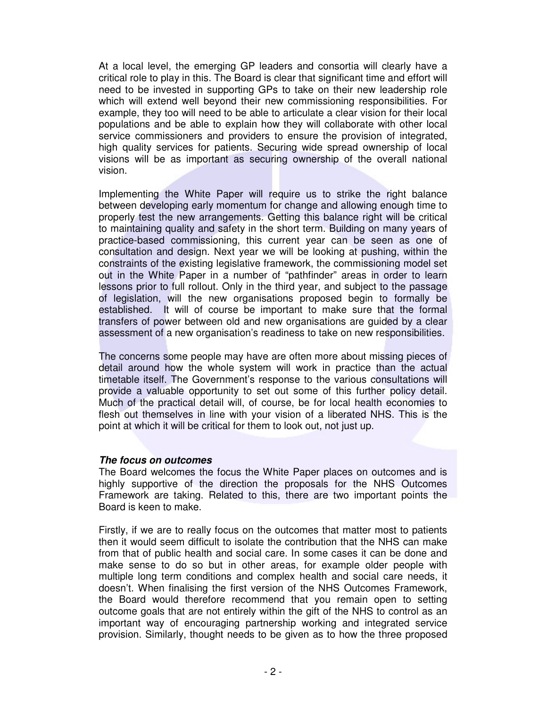At a local level, the emerging GP leaders and consortia will clearly have a critical role to play in this. The Board is clear that significant time and effort will need to be invested in supporting GPs to take on their new leadership role which will extend well beyond their new commissioning responsibilities. For example, they too will need to be able to articulate a clear vision for their local populations and be able to explain how they will collaborate with other local service commissioners and providers to ensure the provision of integrated, high quality services for patients. Securing wide spread ownership of local visions will be as important as securing ownership of the overall national vision.

Implementing the White Paper will require us to strike the right balance between developing early momentum for change and allowing enough time to properly test the new arrangements. Getting this balance right will be critical to maintaining quality and safety in the short term. Building on many years of practice-based commissioning, this current year can be seen as one of consultation and design. Next year we will be looking at pushing, within the constraints of the existing legislative framework, the commissioning model set out in the White Paper in a number of "pathfinder" areas in order to learn lessons prior to full rollout. Only in the third year, and subject to the passage of legislation, will the new organisations proposed begin to formally be established. It will of course be important to make sure that the formal transfers of power between old and new organisations are guided by a clear assessment of a new organisation's readiness to take on new responsibilities.

The concerns some people may have are often more about missing pieces of detail around how the whole system will work in practice than the actual timetable itself. The Government's response to the various consultations will provide a valuable opportunity to set out some of this further policy detail. Much of the practical detail will, of course, be for local health economies to flesh out themselves in line with your vision of a liberated NHS. This is the point at which it will be critical for them to look out, not just up.

### **The focus on outcomes**

The Board welcomes the focus the White Paper places on outcomes and is highly supportive of the direction the proposals for the NHS Outcomes Framework are taking. Related to this, there are two important points the Board is keen to make.

Firstly, if we are to really focus on the outcomes that matter most to patients then it would seem difficult to isolate the contribution that the NHS can make from that of public health and social care. In some cases it can be done and make sense to do so but in other areas, for example older people with multiple long term conditions and complex health and social care needs, it doesn't. When finalising the first version of the NHS Outcomes Framework, the Board would therefore recommend that you remain open to setting outcome goals that are not entirely within the gift of the NHS to control as an important way of encouraging partnership working and integrated service provision. Similarly, thought needs to be given as to how the three proposed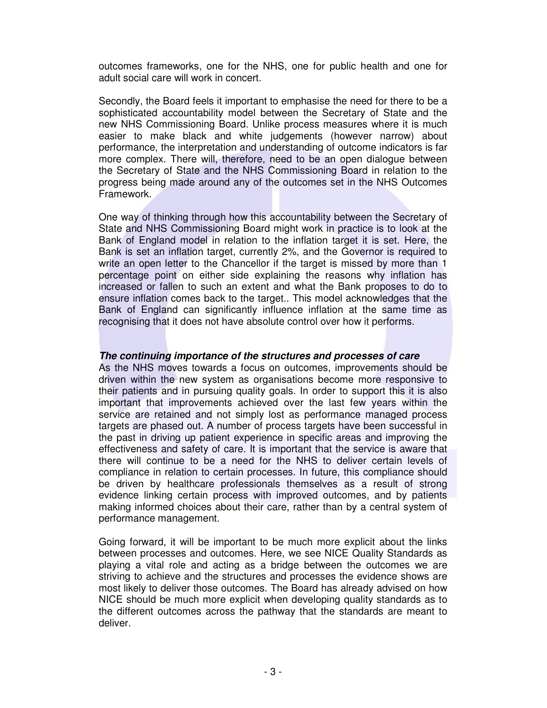outcomes frameworks, one for the NHS, one for public health and one for adult social care will work in concert.

Secondly, the Board feels it important to emphasise the need for there to be a sophisticated accountability model between the Secretary of State and the new NHS Commissioning Board. Unlike process measures where it is much easier to make black and white judgements (however narrow) about performance, the interpretation and understanding of outcome indicators is far more complex. There will, therefore, need to be an open dialogue between the Secretary of State and the NHS Commissioning Board in relation to the progress being made around any of the outcomes set in the NHS Outcomes Framework.

One way of thinking through how this accountability between the Secretary of State and NHS Commissioning Board might work in practice is to look at the Bank of England model in relation to the inflation target it is set. Here, the Bank is set an inflation target, currently 2%, and the Governor is required to write an open letter to the Chancellor if the target is missed by more than 1 percentage point on either side explaining the reasons why inflation has increased or fallen to such an extent and what the Bank proposes to do to ensure inflation comes back to the target.. This model acknowledges that the Bank of England can significantly influence inflation at the same time as recognising that it does not have absolute control over how it performs.

# **The continuing importance of the structures and processes of care**

As the NHS moves towards a focus on outcomes, improvements should be driven within the new system as organisations become more responsive to their patients and in pursuing quality goals. In order to support this it is also important that improvements achieved over the last few years within the service are retained and not simply lost as performance managed process targets are phased out. A number of process targets have been successful in the past in driving up patient experience in specific areas and improving the effectiveness and safety of care. It is important that the service is aware that there will continue to be a need for the NHS to deliver certain levels of compliance in relation to certain processes. In future, this compliance should be driven by healthcare professionals themselves as a result of strong evidence linking certain process with improved outcomes, and by patients making informed choices about their care, rather than by a central system of performance management.

Going forward, it will be important to be much more explicit about the links between processes and outcomes. Here, we see NICE Quality Standards as playing a vital role and acting as a bridge between the outcomes we are striving to achieve and the structures and processes the evidence shows are most likely to deliver those outcomes. The Board has already advised on how NICE should be much more explicit when developing quality standards as to the different outcomes across the pathway that the standards are meant to deliver.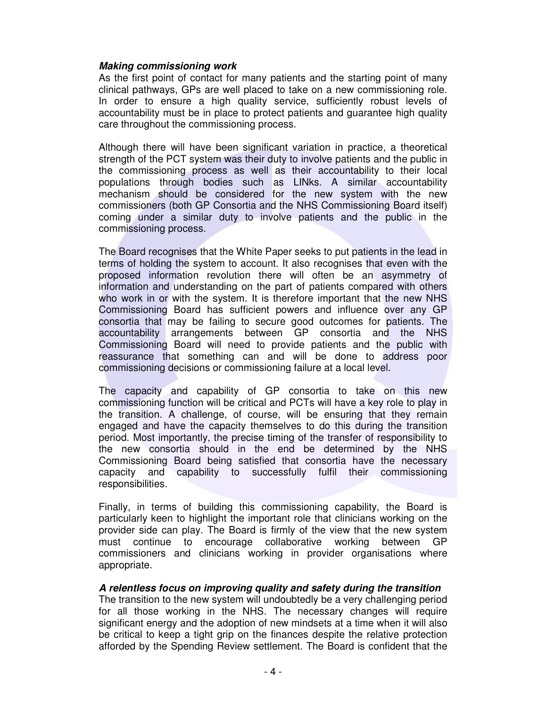## **Making commissioning work**

As the first point of contact for many patients and the starting point of many clinical pathways, GPs are well placed to take on a new commissioning role. In order to ensure a high quality service, sufficiently robust levels of accountability must be in place to protect patients and guarantee high quality care throughout the commissioning process.

Although there will have been significant variation in practice, a theoretical strength of the PCT system was their duty to involve patients and the public in the commissioning process as well as their accountability to their local populations through bodies such as LINks. A similar accountability mechanism should be considered for the new system with the new commissioners (both GP Consortia and the NHS Commissioning Board itself) coming under a similar duty to involve patients and the public in the commissioning process.

The Board recognises that the White Paper seeks to put patients in the lead in terms of holding the system to account. It also recognises that even with the proposed information revolution there will often be an asymmetry of information and understanding on the part of patients compared with others who work in or with the system. It is therefore important that the new NHS Commissioning Board has sufficient powers and influence over any GP consortia that may be failing to secure good outcomes for patients. The accountability arrangements between GP consortia and the NHS Commissioning Board will need to provide patients and the public with reassurance that something can and will be done to address poor commissioning decisions or commissioning failure at a local level.

The capacity and capability of GP consortia to take on this new commissioning function will be critical and PCTs will have a key role to play in the transition. A challenge, of course, will be ensuring that they remain engaged and have the capacity themselves to do this during the transition period. Most importantly, the precise timing of the transfer of responsibility to the new consortia should in the end be determined by the NHS Commissioning Board being satisfied that consortia have the necessary capacity and capability to successfully fulfil their commissioning responsibilities.

Finally, in terms of building this commissioning capability, the Board is particularly keen to highlight the important role that clinicians working on the provider side can play. The Board is firmly of the view that the new system must continue to encourage collaborative working between GP commissioners and clinicians working in provider organisations where appropriate.

### **A relentless focus on improving quality and safety during the transition**

The transition to the new system will undoubtedly be a very challenging period for all those working in the NHS. The necessary changes will require significant energy and the adoption of new mindsets at a time when it will also be critical to keep a tight grip on the finances despite the relative protection afforded by the Spending Review settlement. The Board is confident that the